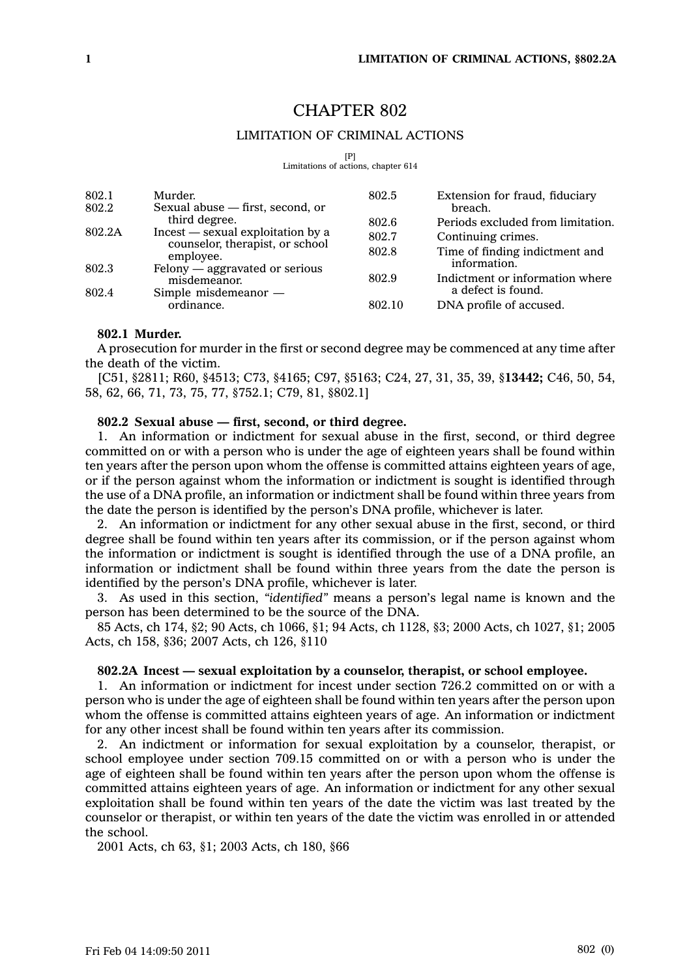# CHAPTER 802

# LIMITATION OF CRIMINAL ACTIONS

 $[$ [P] $]$ 

Limitations of actions, chapter 614

| 802.1<br>802.2 | Murder.<br>Sexual abuse – first, second, or                                                        | 802.5  | Extension for fraud, fiduciary<br>breach.      |
|----------------|----------------------------------------------------------------------------------------------------|--------|------------------------------------------------|
| 802.2A         | third degree.<br>Incest — sexual exploitation by a<br>counselor, therapist, or school<br>employee. | 802.6  | Periods excluded from limitation.              |
|                |                                                                                                    | 802.7  | Continuing crimes.                             |
| 802.3          |                                                                                                    | 802.8  | Time of finding indictment and<br>information. |
|                | Felony - aggravated or serious<br>misdemeanor.                                                     | 802.9  | Indictment or information where                |
| 802.4          | Simple misdemeanor -                                                                               |        | a defect is found.                             |
|                | ordinance.                                                                                         | 802.10 | DNA profile of accused.                        |

## **802.1 Murder.**

A prosecution for murder in the first or second degree may be commenced at any time after the death of the victim.

[C51, §2811; R60, §4513; C73, §4165; C97, §5163; C24, 27, 31, 35, 39, §**13442;** C46, 50, 54, 58, 62, 66, 71, 73, 75, 77, §752.1; C79, 81, §802.1]

## **802.2 Sexual abuse — first, second, or third degree.**

1. An information or indictment for sexual abuse in the first, second, or third degree committed on or with <sup>a</sup> person who is under the age of eighteen years shall be found within ten years after the person upon whom the offense is committed attains eighteen years of age, or if the person against whom the information or indictment is sought is identified through the use of <sup>a</sup> DNA profile, an information or indictment shall be found within three years from the date the person is identified by the person's DNA profile, whichever is later.

2. An information or indictment for any other sexual abuse in the first, second, or third degree shall be found within ten years after its commission, or if the person against whom the information or indictment is sought is identified through the use of <sup>a</sup> DNA profile, an information or indictment shall be found within three years from the date the person is identified by the person's DNA profile, whichever is later.

3. As used in this section, *"identified"* means <sup>a</sup> person's legal name is known and the person has been determined to be the source of the DNA.

85 Acts, ch 174, §2; 90 Acts, ch 1066, §1; 94 Acts, ch 1128, §3; 2000 Acts, ch 1027, §1; 2005 Acts, ch 158, §36; 2007 Acts, ch 126, §110

## **802.2A Incest —sexual exploitation by <sup>a</sup> counselor, therapist, or school employee.**

1. An information or indictment for incest under section 726.2 committed on or with <sup>a</sup> person who is under the age of eighteen shall be found within ten years after the person upon whom the offense is committed attains eighteen years of age. An information or indictment for any other incest shall be found within ten years after its commission.

2. An indictment or information for sexual exploitation by <sup>a</sup> counselor, therapist, or school employee under section 709.15 committed on or with <sup>a</sup> person who is under the age of eighteen shall be found within ten years after the person upon whom the offense is committed attains eighteen years of age. An information or indictment for any other sexual exploitation shall be found within ten years of the date the victim was last treated by the counselor or therapist, or within ten years of the date the victim was enrolled in or attended the school.

2001 Acts, ch 63, §1; 2003 Acts, ch 180, §66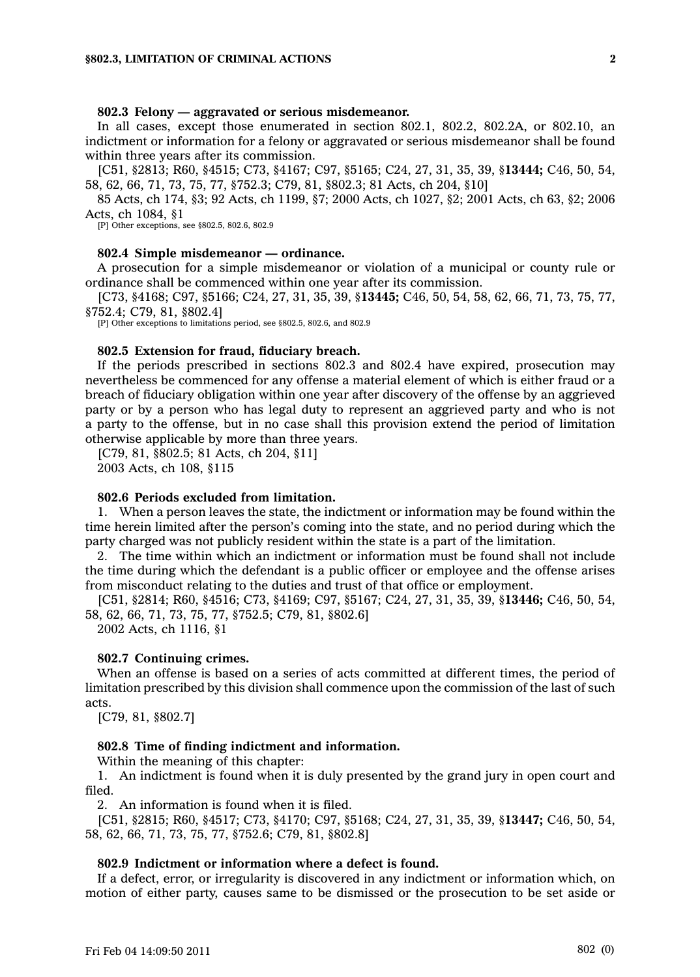### **802.3 Felony — aggravated or serious misdemeanor.**

In all cases, except those enumerated in section 802.1, 802.2, 802.2A, or 802.10, an indictment or information for <sup>a</sup> felony or aggravated or serious misdemeanor shall be found within three years after its commission.

[C51, §2813; R60, §4515; C73, §4167; C97, §5165; C24, 27, 31, 35, 39, §**13444;** C46, 50, 54, 58, 62, 66, 71, 73, 75, 77, §752.3; C79, 81, §802.3; 81 Acts, ch 204, §10]

85 Acts, ch 174, §3; 92 Acts, ch 1199, §7; 2000 Acts, ch 1027, §2; 2001 Acts, ch 63, §2; 2006 Acts, ch 1084, §1

[P] Other exceptions, see §802.5, 802.6, 802.9

#### **802.4 Simple misdemeanor — ordinance.**

A prosecution for <sup>a</sup> simple misdemeanor or violation of <sup>a</sup> municipal or county rule or ordinance shall be commenced within one year after its commission.

[C73, §4168; C97, §5166; C24, 27, 31, 35, 39, §**13445;** C46, 50, 54, 58, 62, 66, 71, 73, 75, 77, §752.4; C79, 81, §802.4]

[P] Other exceptions to limitations period, see §802.5, 802.6, and 802.9

#### **802.5 Extension for fraud, fiduciary breach.**

If the periods prescribed in sections 802.3 and 802.4 have expired, prosecution may nevertheless be commenced for any offense <sup>a</sup> material element of which is either fraud or <sup>a</sup> breach of fiduciary obligation within one year after discovery of the offense by an aggrieved party or by <sup>a</sup> person who has legal duty to represent an aggrieved party and who is not <sup>a</sup> party to the offense, but in no case shall this provision extend the period of limitation otherwise applicable by more than three years.

[C79, 81, §802.5; 81 Acts, ch 204, §11] 2003 Acts, ch 108, §115

#### **802.6 Periods excluded from limitation.**

1. When <sup>a</sup> person leaves the state, the indictment or information may be found within the time herein limited after the person's coming into the state, and no period during which the party charged was not publicly resident within the state is <sup>a</sup> part of the limitation.

2. The time within which an indictment or information must be found shall not include the time during which the defendant is <sup>a</sup> public officer or employee and the offense arises from misconduct relating to the duties and trust of that office or employment.

[C51, §2814; R60, §4516; C73, §4169; C97, §5167; C24, 27, 31, 35, 39, §**13446;** C46, 50, 54, 58, 62, 66, 71, 73, 75, 77, §752.5; C79, 81, §802.6]

2002 Acts, ch 1116, §1

#### **802.7 Continuing crimes.**

When an offense is based on <sup>a</sup> series of acts committed at different times, the period of limitation prescribed by this division shall commence upon the commission of the last of such acts.

[C79, 81, §802.7]

#### **802.8 Time of finding indictment and information.**

Within the meaning of this chapter:

1. An indictment is found when it is duly presented by the grand jury in open court and filed.

2. An information is found when it is filed.

[C51, §2815; R60, §4517; C73, §4170; C97, §5168; C24, 27, 31, 35, 39, §**13447;** C46, 50, 54, 58, 62, 66, 71, 73, 75, 77, §752.6; C79, 81, §802.8]

## **802.9 Indictment or information where <sup>a</sup> defect is found.**

If <sup>a</sup> defect, error, or irregularity is discovered in any indictment or information which, on motion of either party, causes same to be dismissed or the prosecution to be set aside or